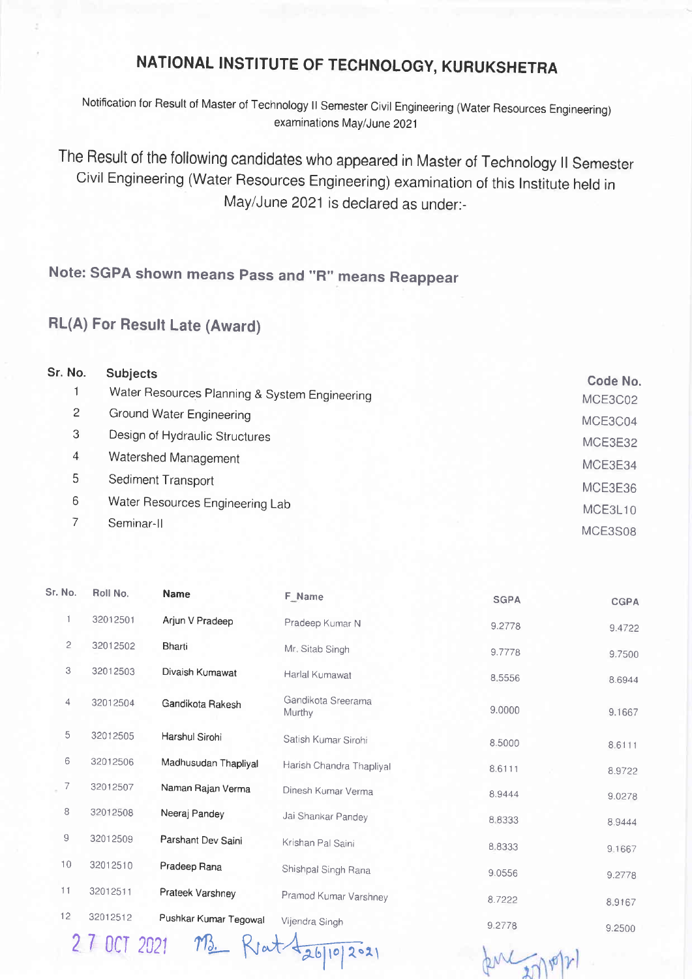## NATIONAL INSTITUTE OF TECHNOLOGY, KURUKSHETRA

Notification for Result of Master of Technology ll Semester Civil Engineering (Water Resources Engineering) examinations May/June 2021

The Result of the following candidates who appeared in Master of Technology ll Semester Civil Engineering (Water Resources Engineering) examination of this lnstitute held in May/June 2021 is declared as under:-

Note: SGPA shown means Pass and "R" means Reappear

## RL(A) For Resutt Late (Award)

| Sr. No.        | <b>Subjects</b>                               | Code No. |
|----------------|-----------------------------------------------|----------|
|                | Water Resources Planning & System Engineering | MCE3C02  |
| $\overline{2}$ | Ground Water Engineering                      | MCE3C04  |
| 3              | Design of Hydraulic Structures                | MCE3E32  |
| 4              | Watershed Management                          | MCE3E34  |
| 5              | Sediment Transport                            | MCE3E36  |
| 6              | Water Resources Engineering Lab               | MCE3L10  |
|                | Seminar-II                                    | MCE3S08  |

| Sr. No.      | Roll No. | <b>Name</b>           | F_Name                       | <b>SGPA</b> | <b>CGPA</b> |
|--------------|----------|-----------------------|------------------------------|-------------|-------------|
|              | 32012501 | Arjun V Pradeep       | Pradeep Kumar N              | 9.2778      | 9.4722      |
| $\mathbf{2}$ | 32012502 | <b>Bharti</b>         | Mr. Sitab Singh              | 9.7778      | 9.7500      |
| 3            | 32012503 | Divaish Kumawat       | Harlal Kumawat               | 8.5556      | 8.6944      |
| 4            | 32012504 | Gandikota Rakesh      | Gandikota Sreerama<br>Murthy | 9.0000      | 9.1667      |
| 5            | 32012505 | Harshul Sirohi        | Satish Kumar Sirohi          | 8.5000      | 8.6111      |
| 6            | 32012506 | Madhusudan Thapliyal  | Harish Chandra Thapliyal     | 8.6111      | 8.9722      |
| 7            | 32012507 | Naman Rajan Verma     | Dinesh Kumar Verma           | 8.9444      | 9.0278      |
| 8            | 32012508 | Neeraj Pandey         | Jai Shankar Pandey           | 8.8333      | 8.9444      |
| 9            | 32012509 | Parshant Dev Saini    | Krishan Pal Saini            | 8.8333      | 9.1667      |
| 10           | 32012510 | Pradeep Rana          | Shishpal Singh Rana          | 9.0556      | 9.2778      |
| 11           | 32012511 | Prateek Varshney      | Pramod Kumar Varshney        | 8.7222      | 8.9167      |
| 12           | 32012512 | Pushkar Kumar Tegowal | Vijendra Singh               | 9.2778      | 9.2500      |

27 OCT 2021 M. Rent tabliopas

functional